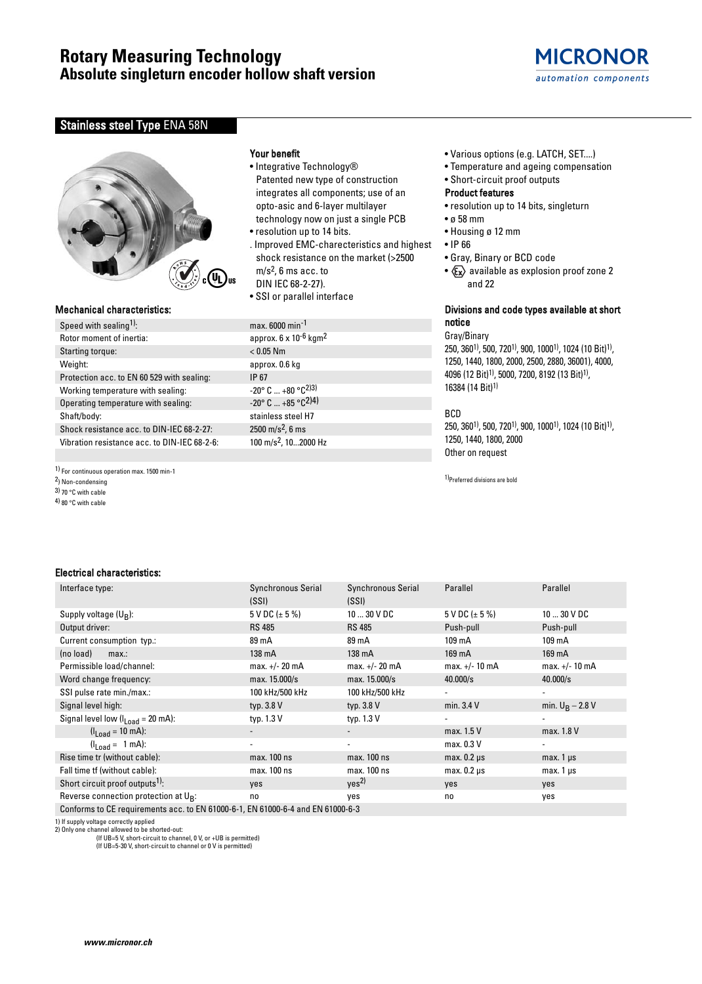# **Rotary Measuring Technology Absolute singleturn encoder hollow shaft version**



# Stainless steel Type ENA 58N



# Mechanical characteristics:

Speed with sealing<sup>1)</sup>: max. 6000 min<sup>-1</sup> Rotor moment of inertia: approx. 6 x 10<sup>-6</sup> kgm<sup>2</sup> Starting torque:  $< 0.05$  Nm Weight: approx. 0.6 kg

- Operating temperature with sealing:
- 
- Shock resistance acc. to DIN-IEC 68-2-27: 2500 m/s<sup>2</sup>, 6 ms
- Vibration resistance acc. to DIN-IEC 68-2-6: 100 m/s2, 10...2000 Hz
- 1) For continuous operation max. 1500 min-1
- 2) Non-condensing
- 3) 70 °C with cable
- 4) 80 °C with cable

## Your benefit

- Integrative Technology® Patented new type of construction integrates all components; use of an opto-asic and 6-layer multilayer technology now on just a single PCB
- resolution up to 14 bits. . Improved EMC-charecteristics and highest shock resistance on the market (>2500
- m/s2, 6 ms acc. to
- DIN IEC 68-2-27).
- SSI or parallel interface

Protection acc. to EN 60 529 with sealing:  $1P 67$ <br>Working temperature with sealing:  $-20^{\circ} C ... +80^{\circ}C^{2}$ Working temperature with sealing:<br>  $0.20^{\circ}$  C ... +80 °C<sup>2)3)</sup><br>  $-20^{\circ}$  C ... +85 °C<sup>2)4)</sup> Shaft/body: stainless steel H7

- Various options (e.g. LATCH, SET....)
- Temperature and ageing compensation
- Short-circuit proof outputs

#### Product features

- resolution up to 14 bits, singleturn
- ø 58 mm
- Housing ø 12 mm
- IP 66
- Gray, Binary or BCD code
- $x \rightarrow \infty$  available as explosion proof zone 2 and 22

## Divisions and code types available at short notice

#### Gray/Binary

250, 3601), 500, 7201), 900, 10001), 1024 (10 Bit)1), 1250, 1440, 1800, 2000, 2500, 2880, 36001), 4000, 4096 (12 Bit)1), 5000, 7200, 8192 (13 Bit)1), 16384 (14 Bit)1)

# BCD

250, 3601), 500, 7201), 900, 10001), 1024 (10 Bit)1), 1250, 1440, 1800, 2000 Other on request

1)Preferred divisions are bold

# Electrical characteristics:

| Interface type:                                        | <b>Synchronous Serial</b> | <b>Synchronous Serial</b> | Parallel              | Parallel           |
|--------------------------------------------------------|---------------------------|---------------------------|-----------------------|--------------------|
|                                                        | (SSI)                     | (SSI)                     |                       |                    |
| Supply voltage $(U_R)$ :                               | 5 V DC $(\pm 5\%)$        | $1030$ V DC               | $5$ V DC ( $\pm$ 5 %) | $1030$ V DC        |
| Output driver:                                         | <b>RS 485</b>             | <b>RS 485</b>             | Push-pull             | Push-pull          |
| Current consumption typ.:                              | 89 mA                     | 89 mA                     | 109 mA                | 109 mA             |
| (no load)<br>max:                                      | 138 mA                    | 138 mA                    | 169 mA                | 169 mA             |
| Permissible load/channel:                              | max. +/- 20 mA            | $max. +/- 20 mA$          | $max. +/- 10 mA$      | max. +/- 10 mA     |
| Word change frequency:                                 | max. 15.000/s             | max. 15.000/s             | 40.000/s              | 40.000/s           |
| SSI pulse rate min./max.:                              | 100 kHz/500 kHz           | 100 kHz/500 kHz           |                       |                    |
| Signal level high:                                     | typ. 3.8 V                | typ. 3.8 V                | min. 3.4 V            | min. $U_B - 2.8 V$ |
| Signal level low $(II_{\text{nad}} = 20 \text{ mA})$ : | typ. 1.3 V                | typ. 1.3 V                |                       |                    |
| $(l_{1,0} = 10 \text{ mA})$ :                          |                           | $\blacksquare$            | max. 1.5 V            | max. 1.8 V         |
| $(I_{\text{Load}} = 1 \text{ mA})$ :                   | $\overline{\phantom{a}}$  | $\overline{\phantom{a}}$  | max. 0.3 V            |                    |
| Rise time tr (without cable):                          | max. 100 ns               | max. 100 ns               | $max. 0.2 \mu s$      | max. $1 \mu s$     |
| Fall time tf (without cable):                          | max. 100 ns               | max. 100 ns               | $max. 0.2 \mu s$      | $max.1 \,\mu s$    |
| Short circuit proof outputs <sup>1)</sup> :            | yes                       | yes <sup>2)</sup>         | yes                   | yes                |
| Reverse connection protection at U <sub>R</sub> :      | no                        | yes                       | no                    | yes                |

Conforms to CE requirements acc. to EN 61000-6-1, EN 61000-6-4 and EN 61000-6-3

1) If supply voltage correctly applied 2) Only one channel allowed to be shorted-out:

(If UB=5 V, short-circuit to channel, 0 V, or +UB is permitted) (If UB=5-30 V, short-circuit to channel or 0 V is permitted)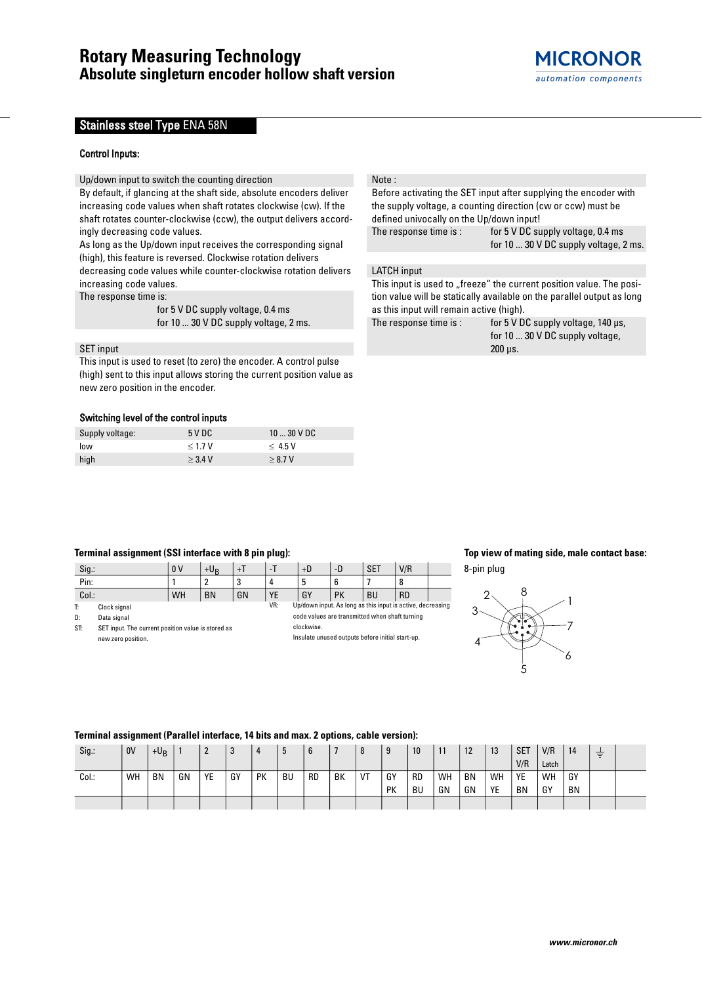# Stainless steel Type ENA 58N

### Control Inputs**:**

Up/down input to switch the counting direction

By default, if glancing at the shaft side, absolute encoders deliver increasing code values when shaft rotates clockwise (cw). If the shaft rotates counter-clockwise (ccw), the output delivers accordingly decreasing code values.

As long as the Up/down input receives the corresponding signal (high), this feature is reversed. Clockwise rotation delivers decreasing code values while counter-clockwise rotation delivers increasing code values.

The response time is:

for 5 V DC supply voltage, 0.4 ms for 10 ... 30 V DC supply voltage, 2 ms.

# SET input

This input is used to reset (to zero) the encoder. A control pulse (high) sent to this input allows storing the current position value as new zero position in the encoder.

#### Switching level of the control inputs

| Supply voltage: | 5VDC      | $1030$ V DC |
|-----------------|-----------|-------------|
| low             | < 1.7 V   | $<$ 4.5 V   |
| high            | $>$ 3.4 V | > 8.7 V     |

#### Note :

Before activating the SET input after supplying the encoder with the supply voltage, a counting direction (cw or ccw) must be defined univocally on the Up/down input! The response time is: for 5 V DC supply voltage, 0.4 ms for 10 ... 30 V DC supply voltage, 2 ms.

LATCH input

This input is used to "freeze" the current position value. The position value will be statically available on the parallel output as long as this input will remain active (high).

The response time is: for  $5 \vee 5 \vee 5$  cupply voltage,  $140 \mu s$ , for 10 ... 30 V DC supply voltage, 200 µs.

# **Terminal assignment (SSI interface with 8 pin plug):**

| Sig.  |                                                    | 0 <sup>V</sup> | $+U_{R}$                                                   | $+1$ | -T | $+D$                                             | -D         | <b>SET</b> | V/R       |  |  |  |
|-------|----------------------------------------------------|----------------|------------------------------------------------------------|------|----|--------------------------------------------------|------------|------------|-----------|--|--|--|
| Pin:  |                                                    |                |                                                            | 3    | 4  |                                                  | 6          |            | 8         |  |  |  |
| Col.: |                                                    | WH             | <b>BN</b>                                                  | GN   | YE | GY                                               | PK         | <b>BU</b>  | <b>RD</b> |  |  |  |
| T:    | Clock signal                                       | VR:            | Up/down input. As long as this input is active, decreasing |      |    |                                                  |            |            |           |  |  |  |
| D:    | Data signal                                        |                | code values are transmitted when shaft turning             |      |    |                                                  |            |            |           |  |  |  |
| ST:   | SET input. The current position value is stored as |                |                                                            |      |    |                                                  | clockwise. |            |           |  |  |  |
|       | new zero position.                                 |                |                                                            |      |    | Insulate unused outputs before initial start-up. |            |            |           |  |  |  |

# **Top view of mating side, male contact base:** 8-pin plug



# **Terminal assignment (Parallel interface, 14 bits and max. 2 options, cable version):**

| Sig.: | <b>OV</b> | $+U_B$    |    | 2  | ◠<br><b>J</b> | 4         | IJ        | 6         |    |    | 9         | 10        | 11 | 12        | 13 | <b>SET</b> | V/R   | 14 | $-$<br>Ξ |  |
|-------|-----------|-----------|----|----|---------------|-----------|-----------|-----------|----|----|-----------|-----------|----|-----------|----|------------|-------|----|----------|--|
|       |           |           |    |    |               |           |           |           |    |    |           |           |    |           |    | V/R        | Latch |    |          |  |
| Col.: | WH        | <b>BN</b> | GN | YE | GY            | <b>PK</b> | <b>BU</b> | <b>RD</b> | BK | VT | GY        | <b>RD</b> | WH | <b>BN</b> | WH | YE         | WH    | GY |          |  |
|       |           |           |    |    |               |           |           |           |    |    | <b>PK</b> | BU        | GN | GN        | YE | BN         | GY    | BN |          |  |
|       |           |           |    |    |               |           |           |           |    |    |           |           |    |           |    |            |       |    |          |  |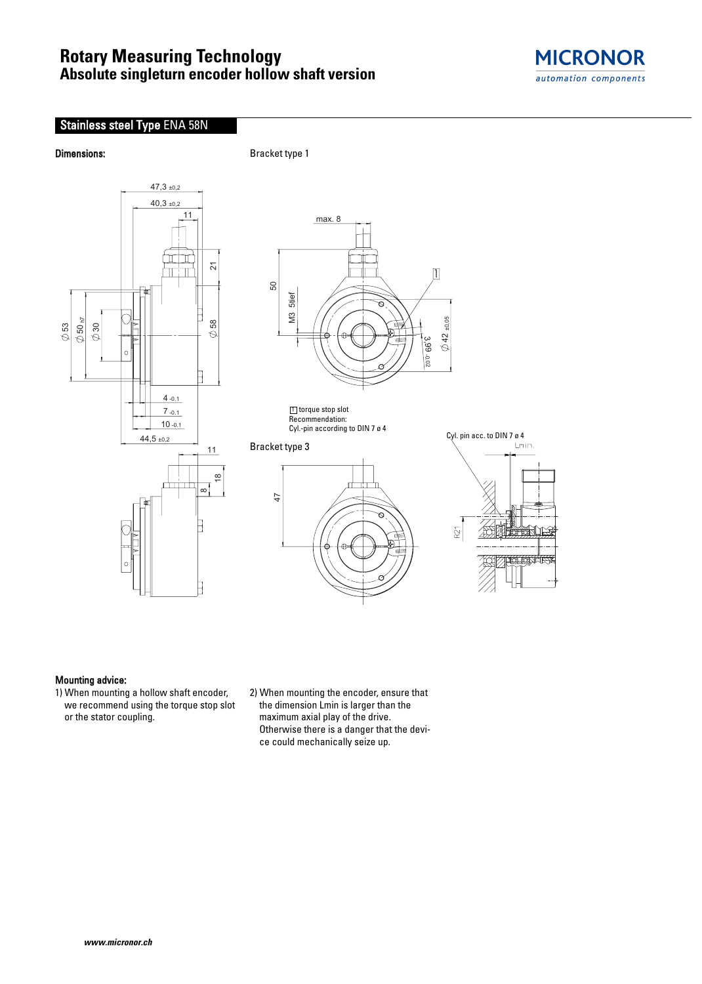# **Rotary Measuring Technology Absolute singleturn encoder hollow shaft version**



# Stainless steel Type ENA 58N

**Dimensions:** Bracket type 1





# Mounting advice:

1) When mounting a hollow shaft encoder, we recommend using the torque stop slot or the stator coupling.

2) When mounting the encoder, ensure that the dimension Lmin is larger than the maximum axial play of the drive. Otherwise there is a danger that the device could mechanically seize up.